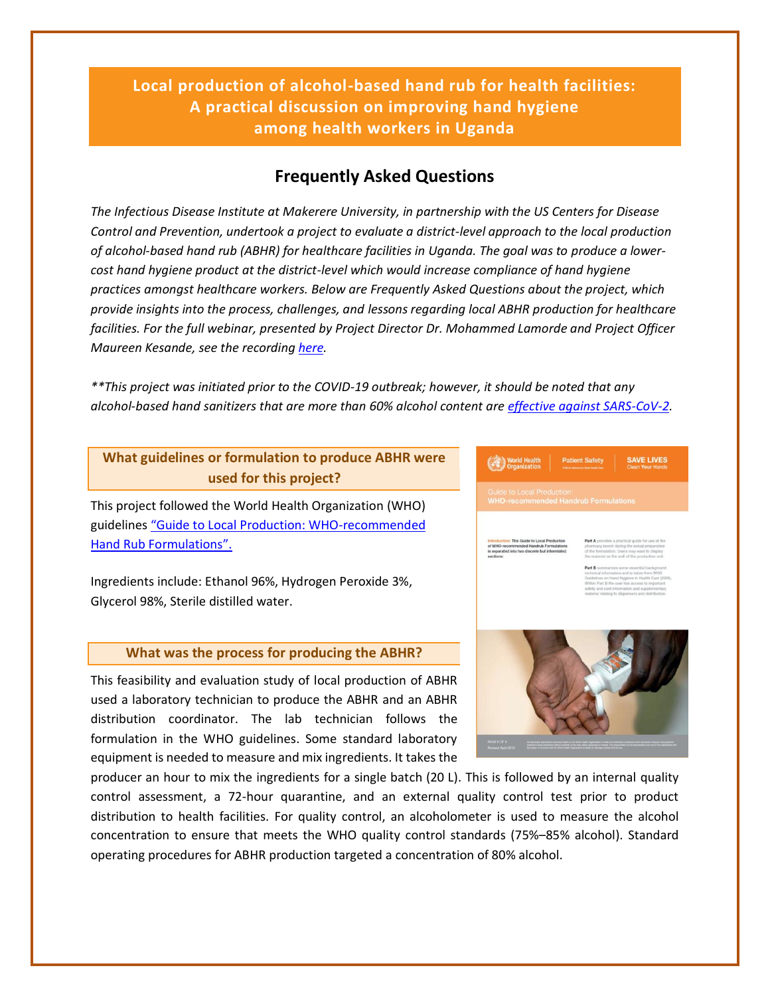**Local production of alcohol-based hand rub for health facilities: A practical discussion on improving hand hygiene among health workers in Uganda**

# **Frequently Asked Questions**

*The Infectious Disease Institute at Makerere University, in partnership with the US Centers for Disease Control and Prevention, undertook a project to evaluate a district-level approach to the local production of alcohol-based hand rub (ABHR) for healthcare facilities in Uganda. The goal was to produce a lowercost hand hygiene product at the district-level which would increase compliance of hand hygiene practices amongst healthcare workers. Below are Frequently Asked Questions about the project, which provide insights into the process, challenges, and lessons regarding local ABHR production for healthcare facilities. For the full webinar, presented by Project Director Dr. Mohammed Lamorde and Project Officer Maureen Kesande, see the recordin[g here.](https://www.youtube.com/watch?v=M7rR6RZoONA)*

*\*\*This project was initiated prior to the COVID-19 outbreak; however, it should be noted that any alcohol-based hand sanitizers that are more than 60% alcohol content ar[e effective against SARS-CoV-2.](https://www.biorxiv.org/content/10.1101/2020.03.10.986711v1?ct=)*

## **What guidelines or formulation to produce ABHR were used for this project?**

This project followed the World Health Organization (WHO) guidelines ["Guide to Local Production: WHO](https://www.who.int/gpsc/5may/Guide_to_Local_Production.pdf)-recommended [Hand Rub Formulations".](https://www.who.int/gpsc/5may/Guide_to_Local_Production.pdf)

Ingredients include: Ethanol 96%, Hydrogen Peroxide 3%, Glycerol 98%, Sterile distilled water.

## **What was the process for producing the ABHR?**

This feasibility and evaluation study of local production of ABHR used a laboratory technician to produce the ABHR and an ABHR distribution coordinator. The lab technician follows the formulation in the WHO guidelines. Some standard laboratory equipment is needed to measure and mix ingredients. It takes the



producer an hour to mix the ingredients for a single batch (20 L). This is followed by an internal quality control assessment, a 72-hour quarantine, and an external quality control test prior to product distribution to health facilities. For quality control, an alcoholometer is used to measure the alcohol concentration to ensure that meets the WHO quality control standards (75%–85% alcohol). Standard operating procedures for ABHR production targeted a concentration of 80% alcohol.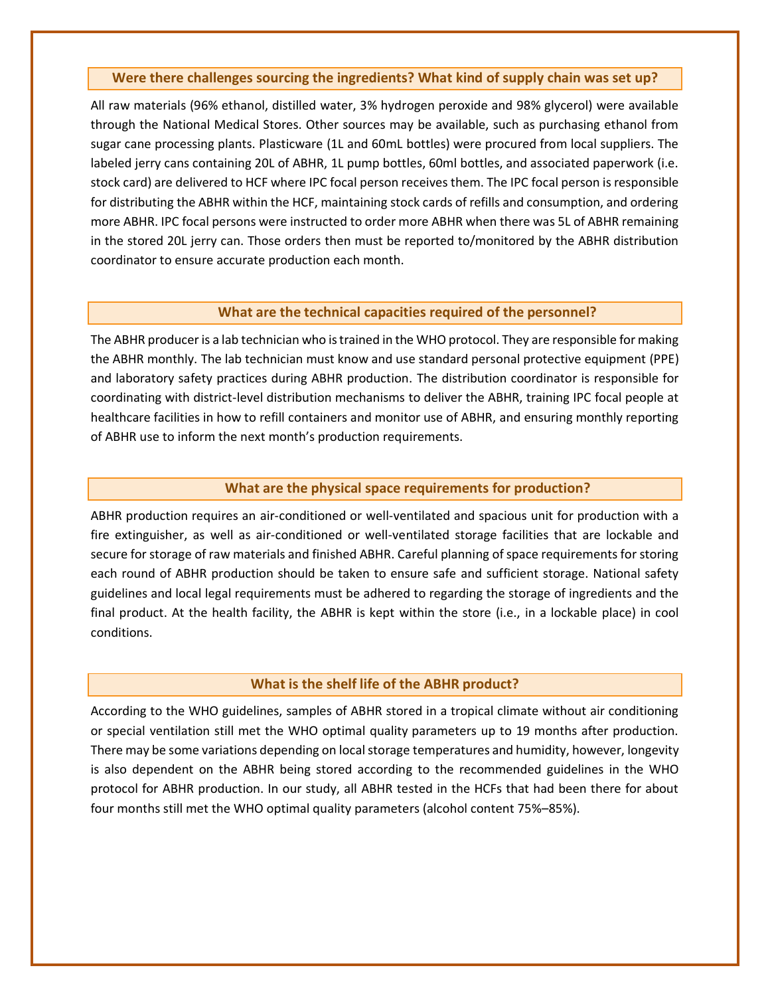### **Were there challenges sourcing the ingredients? What kind of supply chain was set up?**

All raw materials (96% ethanol, distilled water, 3% hydrogen peroxide and 98% glycerol) were available through the National Medical Stores. Other sources may be available, such as purchasing ethanol from sugar cane processing plants. Plasticware (1L and 60mL bottles) were procured from local suppliers. The labeled jerry cans containing 20L of ABHR, 1L pump bottles, 60ml bottles, and associated paperwork (i.e. stock card) are delivered to HCF where IPC focal person receives them. The IPC focal person is responsible for distributing the ABHR within the HCF, maintaining stock cards of refills and consumption, and ordering more ABHR. IPC focal persons were instructed to order more ABHR when there was 5L of ABHR remaining in the stored 20L jerry can. Those orders then must be reported to/monitored by the ABHR distribution coordinator to ensure accurate production each month.

## **What are the technical capacities required of the personnel?**

The ABHR producer is a lab technician who is trained in the WHO protocol. They are responsible for making the ABHR monthly. The lab technician must know and use standard personal protective equipment (PPE) and laboratory safety practices during ABHR production. The distribution coordinator is responsible for coordinating with district-level distribution mechanisms to deliver the ABHR, training IPC focal people at healthcare facilities in how to refill containers and monitor use of ABHR, and ensuring monthly reporting of ABHR use to inform the next month's production requirements.

## **What are the physical space requirements for production?**

ABHR production requires an air-conditioned or well-ventilated and spacious unit for production with a fire extinguisher, as well as air-conditioned or well-ventilated storage facilities that are lockable and secure for storage of raw materials and finished ABHR. Careful planning of space requirements for storing each round of ABHR production should be taken to ensure safe and sufficient storage. National safety guidelines and local legal requirements must be adhered to regarding the storage of ingredients and the final product. At the health facility, the ABHR is kept within the store (i.e., in a lockable place) in cool conditions.

## **What is the shelf life of the ABHR product?**

According to the WHO guidelines, samples of ABHR stored in a tropical climate without air conditioning or special ventilation still met the WHO optimal quality parameters up to 19 months after production. There may be some variations depending on local storage temperatures and humidity, however, longevity is also dependent on the ABHR being stored according to the recommended guidelines in the WHO protocol for ABHR production. In our study, all ABHR tested in the HCFs that had been there for about four months still met the WHO optimal quality parameters (alcohol content 75%–85%).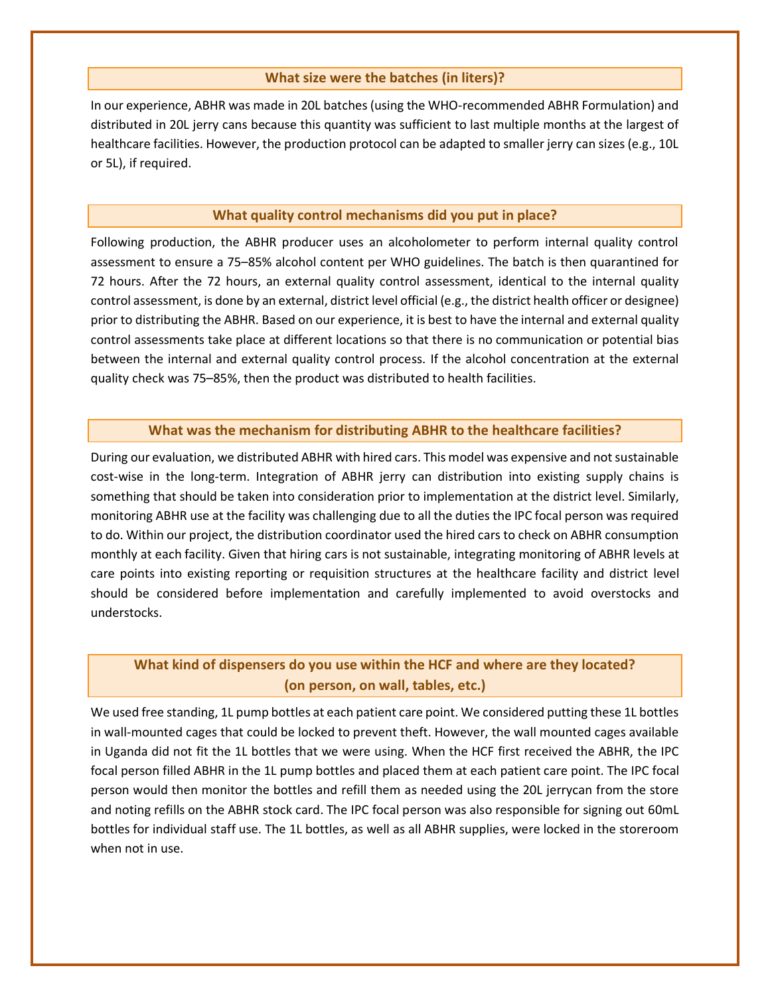## **What size were the batches (in liters)?**

In our experience, ABHR was made in 20L batches (using the WHO-recommended ABHR Formulation) and distributed in 20L jerry cans because this quantity was sufficient to last multiple months at the largest of healthcare facilities. However, the production protocol can be adapted to smaller jerry can sizes (e.g., 10L or 5L), if required.

#### **What quality control mechanisms did you put in place?**

Following production, the ABHR producer uses an alcoholometer to perform internal quality control assessment to ensure a 75–85% alcohol content per WHO guidelines. The batch is then quarantined for 72 hours. After the 72 hours, an external quality control assessment, identical to the internal quality control assessment, is done by an external, district level official (e.g., the district health officer or designee) prior to distributing the ABHR. Based on our experience, it is best to have the internal and external quality control assessments take place at different locations so that there is no communication or potential bias between the internal and external quality control process. If the alcohol concentration at the external quality check was 75–85%, then the product was distributed to health facilities.

## **What was the mechanism for distributing ABHR to the healthcare facilities?**

During our evaluation, we distributed ABHR with hired cars. This model was expensive and not sustainable cost-wise in the long-term. Integration of ABHR jerry can distribution into existing supply chains is something that should be taken into consideration prior to implementation at the district level. Similarly, monitoring ABHR use at the facility was challenging due to all the duties the IPC focal person was required to do. Within our project, the distribution coordinator used the hired cars to check on ABHR consumption monthly at each facility. Given that hiring cars is not sustainable, integrating monitoring of ABHR levels at care points into existing reporting or requisition structures at the healthcare facility and district level should be considered before implementation and carefully implemented to avoid overstocks and understocks.

## **What kind of dispensers do you use within the HCF and where are they located? (on person, on wall, tables, etc.)**

We used free standing, 1L pump bottles at each patient care point. We considered putting these 1L bottles in wall-mounted cages that could be locked to prevent theft. However, the wall mounted cages available in Uganda did not fit the 1L bottles that we were using. When the HCF first received the ABHR, the IPC focal person filled ABHR in the 1L pump bottles and placed them at each patient care point. The IPC focal person would then monitor the bottles and refill them as needed using the 20L jerrycan from the store and noting refills on the ABHR stock card. The IPC focal person was also responsible for signing out 60mL bottles for individual staff use. The 1L bottles, as well as all ABHR supplies, were locked in the storeroom when not in use.